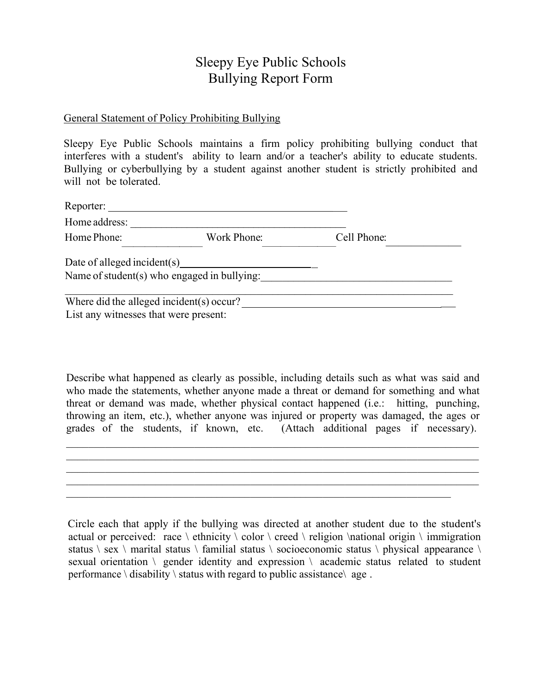## Sleepy Eye Public Schools Bullying Report Form

## General Statement of Policy Prohibiting Bullying

Sleepy Eye Public Schools maintains a firm policy prohibiting bullying conduct that interferes with a student's ability to learn and/or a teacher's ability to educate students. Bullying or cyberbullying by a student against another student is strictly prohibited and will not be tolerated.

| Reporter:                                |                                             |             |  |
|------------------------------------------|---------------------------------------------|-------------|--|
| Home address:                            |                                             |             |  |
| Home Phone:                              | Work Phone:                                 | Cell Phone: |  |
|                                          | Date of alleged incident(s)                 |             |  |
|                                          | Name of student(s) who engaged in bullying: |             |  |
| Where did the alleged incident(s) occur? |                                             |             |  |
| List any witnesses that were present:    |                                             |             |  |

Describe what happened as clearly as possible, including details such as what was said and who made the statements, whether anyone made a threat or demand for something and what threat or demand was made, whether physical contact happened (i.e.: hitting, punching, throwing an item, etc.), whether anyone was injured or property was damaged, the ages or grades of the students, if known, etc. (Attach additional pages if necessary).

Circle each that apply if the bullying was directed at another student due to the student's actual or perceived: race  $\ \ \$ cthnicity  $\ \ color \ \ \ \$ reed  $\n \ \$ religion  $\n \$ ational origin  $\n \ \ \$ immigration status \ sex \ marital status \ familial status \ socioeconomic status \ physical appearance \ sexual orientation  $\Diamond$  gender identity and expression  $\Diamond$  academic status related to student performance  $\langle$  disability  $\langle$  status with regard to public assistance $\langle$  age.